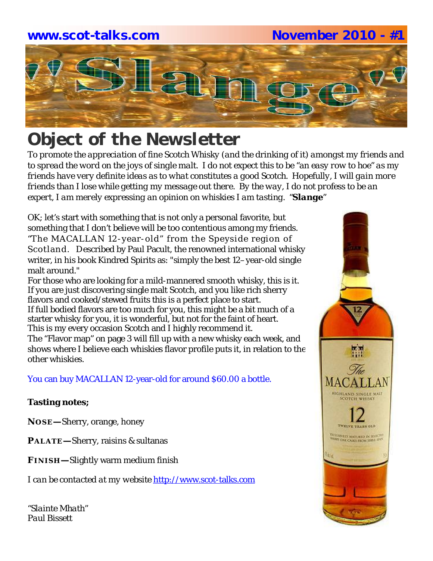## **www.scot-talks.com November 2010 - #1**



# *Object of the Newsletter*

*To promote the appreciation of fine Scotch Whisky (and the drinking of it) amongst my friends and to spread the word on the joys of single malt. I do not expect this to be "an easy row to hoe" as my friends have very definite ideas as to what constitutes a good Scotch. Hopefully, I will gain more friends than I lose while getting my message out there. By the way, I do not profess to be an expert, I am merely expressing an opinion on whiskies I am tasting. "Slange"*

OK; let's start with something that is not only a personal favorite, but something that I don't believe will be too contentious among my friends. "The MACALLAN 12-year-old" from the Speyside region of Scotland. Described by Paul Pacult, the renowned international whisky writer, in his book Kindred Spirits as: "simply the best 12–year-old single malt around."

For those who are looking for a mild-mannered smooth whisky, this is it. If you are just discovering single malt Scotch, and you like rich sherry flavors and cooked/stewed fruits this is a perfect place to start. If full bodied flavors are too much for you, this might be a bit much of a starter whisky for you, it is wonderful, but not for the faint of heart. This is my every occasion Scotch and I highly recommend it. The "Flavor map" on page 3 will fill up with a new whisky each week, and shows where I believe each whiskies flavor profile puts it, in relation to the other whiskies.

You can buy MACALLAN 12-year-old for around \$60.00 a bottle.

## **Tasting notes;**

**NO SE—**Sherry, orange, honey

**PALATE—**Sherry, raisins & sultanas

**FI N I SH—**Slightly warm medium finish

*I can be contacted at my website* http://www.scot-talks.com

*"Slainte Mhath" Paul Bissett*

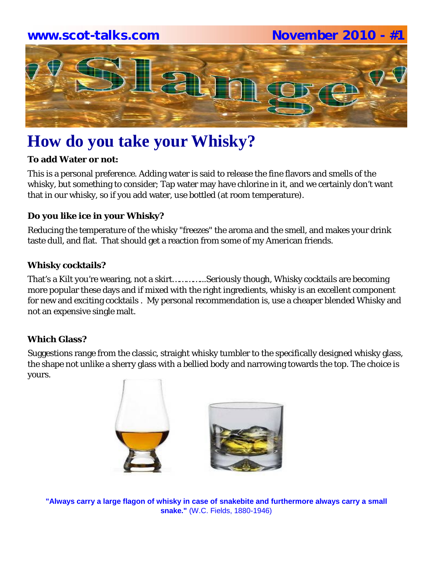## **www.scot-talks.com November 2010 - #1**



# **How do you take your Whisky?**

## **To add Water or not:**

This is a personal preference. Adding water is said to release the fine flavors and smells of the whisky, but something to consider; Tap water may have chlorine in it, and we certainly don't want that in our whisky, so if you add water, use bottled (at room temperature).

## **Do you like ice in your Whisky?**

Reducing the temperature of the whisky "freezes" the aroma and the smell, and makes your drink taste dull, and flat. That should get a reaction from some of my American friends.

## **Whisky cocktails?**

That's a Kilt you're wearing, not a skirt…………...Seriously though, Whisky cocktails are becoming more popular these days and if mixed with the right ingredients, whisky is an excellent component for new and exciting cocktails . My personal recommendation is, use a cheaper blended Whisky and not an expensive single malt.

## **Which Glass?**

Suggestions range from the classic, straight whisky tumbler to the specifically designed whisky glass, the shape not unlike a sherry glass with a bellied body and narrowing towards the top. The choice is yours.



**"Always carry a large flagon of whisky in case of snakebite and furthermore always carry a small snake."** (W.C. Fields, 1880-1946)